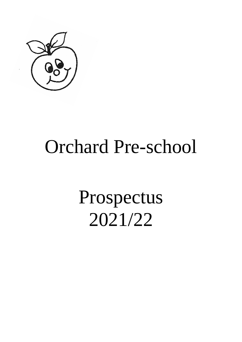

## Orchard Pre-school

# Prospectus 2021/22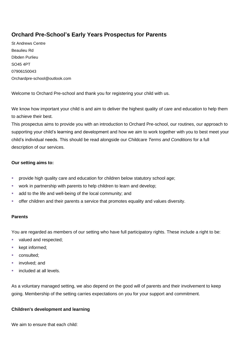### **Orchard Pre-School's Early Years Prospectus for Parents**

St Andrews Centre Beaulieu Rd Dibden Purlieu SO45 4PT 07906150043 Orchardpre-school@outlook.com

Welcome to Orchard Pre-school and thank you for registering your child with us.

We know how important your child is and aim to deliver the highest quality of care and education to help them to achieve their best.

This prospectus aims to provide you with an introduction to Orchard Pre-school, our routines, our approach to supporting your child's learning and development and how we aim to work together with you to best meet your child's individual needs. This should be read alongside our Childcare *Terms and Conditions* for a full description of our services.

#### **Our setting aims to:**

- **•** provide high quality care and education for children below statutory school age;
- work in partnership with parents to help children to learn and develop;
- add to the life and well-being of the local community; and
- offer children and their parents a service that promotes equality and values diversity.

#### **Parents**

You are regarded as members of our setting who have full participatory rights. These include a right to be:

- valued and respected;
- kept informed;
- consulted;
- involved; and
- included at all levels.

As a voluntary managed setting, we also depend on the good will of parents and their involvement to keep going. Membership of the setting carries expectations on you for your support and commitment.

#### **Children's development and learning**

We aim to ensure that each child: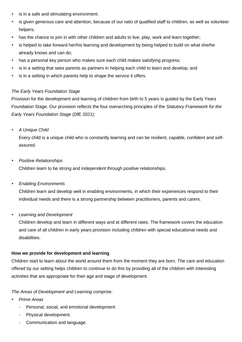- is in a safe and stimulating environment;
- is given generous care and attention, because of our ratio of qualified staff to children, as well as volunteer helpers;
- **EXT** has the chance to join in with other children and adults to live, play, work and learn together;
- **EXT** is helped to take forward her/his learning and development by being helped to build on what she/he already knows and can do;
- has a personal key person who makes sure each child makes satisfying progress;
- is in a setting that sees parents as partners in helping each child to learn and develop; and
- **EXECT** is in a setting in which parents help to shape the service it offers.

#### *The Early Years Foundation Stage*

Provision for the development and learning of children from birth to 5 years is guided by the Early Years Foundation Stage. Our provision reflects the four overarching principles of the *Statutory Framework for the Early Years Foundation Stage* (DfE 2021):

■ *A Unique Child* 

Every child is a unique child who is constantly learning and can be resilient, capable, confident and selfassured.

**Positive Relationships** 

Children learn to be strong and independent through positive relationships.

▪ *Enabling Environments*

Children learn and develop well in enabling environments, in which their experiences respond to their individual needs and there is a strong partnership between practitioners, parents and carers.

▪ *Learning and Development*

Children develop and learn in different ways and at different rates. The framework covers the education and care of all children in early years provision including children with special educational needs and disabilities.

#### **How we provide for development and learning**

Children start to learn about the world around them from the moment they are born. The care and education offered by our setting helps children to continue to do this by providing all of the children with interesting activities that are appropriate for their age and stage of development.

#### *The Areas of Development and Learning comprise:*

- **Prime Areas** 
	- **-** Personal, social, and emotional development.
	- **-** Physical development.
	- **-** Communication and language.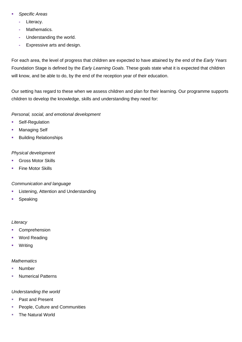- Specific Areas
	- **-** Literacy.
	- **-** Mathematics.
	- **-** Understanding the world.
	- **-** Expressive arts and design.

For each area, the level of progress that children are expected to have attained by the end of the *Early Years* Foundation Stage is defined by the *Early Learning Goals*. These goals state what it is expected that children will know, and be able to do, by the end of the reception year of their education.

Our setting has regard to these when we assess children and plan for their learning. Our programme supports children to develop the knowledge, skills and understanding they need for:

#### *Personal, social, and emotional development*

- Self-Regulation
- Managing Self
- Building Relationships

#### *Physical development*

- Gross Motor Skills
- Fine Motor Skills

#### *Communication and language*

- Listening, Attention and Understanding
- Speaking

#### *Literacy*

- Comprehension
- Word Reading
- Writing

#### *Mathematics*

- **Number**
- **Numerical Patterns**

#### *Understanding the world*

- Past and Present
- People, Culture and Communities
- The Natural World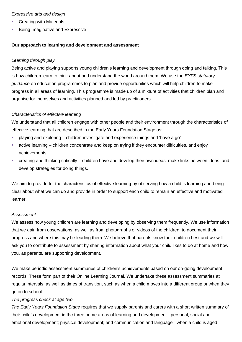#### *Expressive arts and design*

- **Creating with Materials**
- **Being Imaginative and Expressive**

#### **Our approach to learning and development and assessment**

#### *Learning through play*

Being active and playing supports young children's learning and development through doing and talking. This is how children learn to think about and understand the world around them. We use the *EYFS statutory guidance* on education programmes to plan and provide opportunities which will help children to make progress in all areas of learning. This programme is made up of a mixture of activities that children plan and organise for themselves and activities planned and led by practitioners.

#### *Characteristics of effective learning*

We understand that all children engage with other people and their environment through the characteristics of effective learning that are described in the Early Years Foundation Stage as:

- playing and exploring children investigate and experience things and 'have a go'
- **EXECT** active learning children concentrate and keep on trying if they encounter difficulties, and enjoy achievements
- creating and thinking critically children have and develop their own ideas, make links between ideas, and develop strategies for doing things.

We aim to provide for the characteristics of effective learning by observing how a child is learning and being clear about what we can do and provide in order to support each child to remain an effective and motivated learner.

#### *Assessment*

We assess how young children are learning and developing by observing them frequently. We use information that we gain from observations, as well as from photographs or videos of the children, to document their progress and where this may be leading them. We believe that parents know their children best and we will ask you to contribute to assessment by sharing information about what your child likes to do at home and how you, as parents, are supporting development.

We make periodic assessment summaries of children's achievements based on our on-going development records. These form part of their Online Learning Journal. We undertake these assessment summaries at regular intervals, as well as times of transition, such as when a child moves into a different group or when they go on to school.

#### *The progress check at age two*

*The Early Years Foundation Stage* requires that we supply parents and carers with a short written summary of their child's development in the three prime areas of learning and development - personal, social and emotional development; physical development; and communication and language - when a child is aged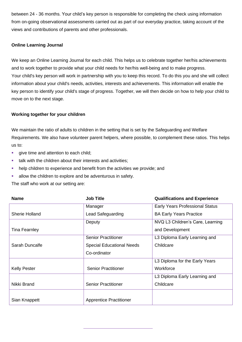between 24 - 36 months. Your child's key person is responsible for completing the check using information from on-going observational assessments carried out as part of our everyday practice, taking account of the views and contributions of parents and other professionals.

#### **Online Learning Journal**

We keep an Online Learning Journal for each child. This helps us to celebrate together her/his achievements and to work together to provide what your child needs for her/his well-being and to make progress. Your child's key person will work in partnership with you to keep this record. To do this you and she will collect information about your child's needs, activities, interests and achievements. This information will enable the key person to identify your child's stage of progress. Together, we will then decide on how to help your child to move on to the next stage.

#### **Working together for your children**

We maintain the ratio of adults to children in the setting that is set by the Safeguarding and Welfare Requirements. We also have volunteer parent helpers, where possible, to complement these ratios. This helps us to:

- **•** give time and attention to each child;
- **.** talk with the children about their interests and activities;
- help children to experience and benefit from the activities we provide; and
- **EXECUTE:** allow the children to explore and be adventurous in safety.

The staff who work at our setting are:

| <b>Name</b>         | <b>Job Title</b>                 | <b>Qualifications and Experience</b>   |
|---------------------|----------------------------------|----------------------------------------|
|                     | Manager                          | <b>Early Years Professional Status</b> |
| Sherie Holland      | Lead Safeguarding                | <b>BA Early Years Practice</b>         |
|                     | Deputy                           | NVQ L3 Children's Care, Learning       |
| Tina Fearnley       |                                  | and Development                        |
|                     | <b>Senior Practitioner</b>       | L3 Diploma Early Learning and          |
| Sarah Duncalfe      | <b>Special Educational Needs</b> | Childcare                              |
|                     | Co-ordinator                     |                                        |
|                     |                                  | L3 Diploma for the Early Years         |
| <b>Kelly Pester</b> | <b>Senior Practitioner</b>       | Workforce                              |
|                     |                                  | L3 Diploma Early Learning and          |
| Nikki Brand         | <b>Senior Practitioner</b>       | Childcare                              |
|                     |                                  |                                        |
| Sian Knappett       | <b>Apprentice Practitioner</b>   |                                        |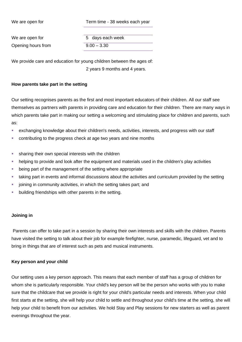We are open for Term time - 38 weeks each year

Opening hours from 9.00 – 3.30

We are open for The State of the State of the State of the State of the State of the State of the State of the State of the State of the State of the State of the State of the State of the State of the State of the State o

We provide care and education for young children between the ages of: 2 years 9 months and 4 years.

#### **How parents take part in the setting**

Our setting recognises parents as the first and most important educators of their children. All our staff see themselves as partners with parents in providing care and education for their children. There are many ways in which parents take part in making our setting a welcoming and stimulating place for children and parents, such as:

- **EXAM** exchanging knowledge about their children's needs, activities, interests, and progress with our staff
- contributing to the progress check at age two years and nine months
- **EXECT** sharing their own special interests with the children
- **EXECT** helping to provide and look after the equipment and materials used in the children's play activities
- being part of the management of the setting where appropriate
- taking part in events and informal discussions about the activities and curriculum provided by the setting
- joining in community activities, in which the setting takes part; and
- **•** building friendships with other parents in the setting.

#### **Joining in**

Parents can offer to take part in a session by sharing their own interests and skills with the children. Parents have visited the setting to talk about their job for example firefighter, nurse, paramedic, lifeguard, vet and to bring in things that are of interest such as pets and musical instruments.

#### **Key person and your child**

Our setting uses a key person approach. This means that each member of staff has a group of children for whom she is particularly responsible. Your child's key person will be the person who works with you to make sure that the childcare that we provide is right for your child's particular needs and interests. When your child first starts at the setting, she will help your child to settle and throughout your child's time at the setting, she will help your child to benefit from our activities. We hold Stay and Play sessions for new starters as well as parent evenings throughout the year.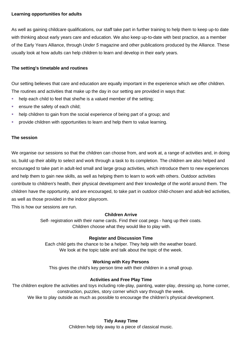#### **Learning opportunities for adults**

As well as gaining childcare qualifications, our staff take part in further training to help them to keep up-to date with thinking about early years care and education. We also keep up-to-date with best practice, as a member of the Early Years Alliance, through *Under 5* magazine and other publications produced by the Alliance. These usually look at how adults can help children to learn and develop in their early years.

#### **The setting's timetable and routines**

Our setting believes that care and education are equally important in the experience which we offer children. The routines and activities that make up the day in our setting are provided in ways that:

- help each child to feel that she/he is a valued member of the setting;
- ensure the safety of each child;
- help children to gain from the social experience of being part of a group; and
- provide children with opportunities to learn and help them to value learning.

#### **The session**

We organise our sessions so that the children can choose from, and work at, a range of activities and, in doing so, build up their ability to select and work through a task to its completion. The children are also helped and encouraged to take part in adult-led small and large group activities, which introduce them to new experiences and help them to gain new skills, as well as helping them to learn to work with others. Outdoor activities contribute to children's health, their physical development and their knowledge of the world around them. The children have the opportunity, and are encouraged, to take part in outdoor child-chosen and adult-led activities, as well as those provided in the indoor playroom.

This is how our sessions are run.

#### **Children Arrive**

Self- registration with their name cards. Find their coat pegs - hang up their coats. Children choose what they would like to play with.

#### **Register and Discussion Time**

Each child gets the chance to be a helper. They help with the weather board. We look at the topic table and talk about the topic of the week.

#### **Working with Key Persons**

This gives the child's key person time with their children in a small group.

#### **Activities and Free Play Time**

The children explore the activities and toys including role-play, painting, water-play, dressing up, home corner, construction, puzzles, story corner which vary through the week.

We like to play outside as much as possible to encourage the children's physical development.

**Tidy Away Time** Children help tidy away to a piece of classical music.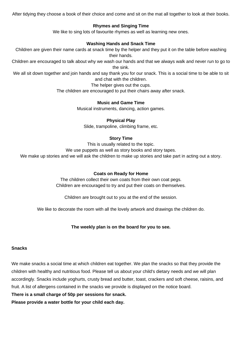After tidying they choose a book of their choice and come and sit on the mat all together to look at their books.

#### **Rhymes and Singing Time**

We like to sing lots of favourite rhymes as well as learning new ones.

#### **Washing Hands and Snack Time**

Children are given their name cards at snack time by the helper and they put it on the table before washing their hands.

Children are encouraged to talk about why we wash our hands and that we always walk and never run to go to the sink.

We all sit down together and join hands and say thank you for our snack. This is a social time to be able to sit and chat with the children.

#### The helper gives out the cups.

The children are encouraged to put their chairs away after snack.

#### **Music and Game Time**

Musical instruments, dancing, action games.

#### **Physical Play**

Slide, trampoline, climbing frame, etc.

#### **Story Time**

This is usually related to the topic.

We use puppets as well as story books and story tapes.

We make up stories and we will ask the children to make up stories and take part in acting out a story.

#### **Coats on Ready for Home**

The children collect their own coats from their own coat pegs. Children are encouraged to try and put their coats on themselves.

Children are brought out to you at the end of the session.

We like to decorate the room with all the lovely artwork and drawings the children do.

#### **The weekly plan is on the board for you to see.**

#### **Snacks**

We make snacks a social time at which children eat together. We plan the snacks so that they provide the children with healthy and nutritious food. Please tell us about your child's dietary needs and we will plan accordingly. Snacks include yoghurts, crusty bread and butter, toast, crackers and soft cheese, raisins, and fruit. A list of allergens contained in the snacks we provide is displayed on the notice board.

**There is a small charge of 50p per sessions for snack.**

**Please provide a water bottle for your child each day.**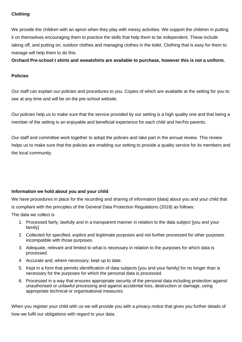#### **Clothing**

We provide the children with an apron when they play with messy activities. We support the children in putting it on themselves encouraging them to practice the skills that help them to be independent. These include taking off, and putting on, outdoor clothes and managing clothes in the toilet. Clothing that is easy for them to manage will help them to do this.

**Orchard Pre-school t shirts and sweatshirts are available to purchase, however this is not a uniform.**

#### **Policies**

Our staff can explain our policies and procedures to you. Copies of which are available at the setting for you to see at any time and will be on the pre-school website.

Our policies help us to make sure that the service provided by our setting is a high quality one and that being a member of the setting is an enjoyable and beneficial experience for each child and her/his parents.

Our staff and committee work together to adopt the policies and take part in the annual review. This review helps us to make sure that the policies are enabling our setting to provide a quality service for its members and the local community.

#### **Information we hold about you and your child**

We have procedures in place for the recording and sharing of information [data] about you and your child that is compliant with the principles of the General Data Protection Regulations (2018) as follows:

The data we collect is

- 1. Processed fairly, lawfully and in a transparent manner in relation to the data subject [you and your family]
- 2. Collected for specified, explicit and legitimate purposes and not further processed for other purposes incompatible with those purposes.
- 3. Adequate, relevant and limited to what is necessary in relation to the purposes for which data is processed.
- 4. Accurate and, where necessary, kept up to date.
- 5. Kept in a form that permits identification of data subjects [you and your family] for no longer than is necessary for the purposes for which the personal data is processed.
- 6. Processed in a way that ensures appropriate security of the personal data including protection against unauthorised or unlawful processing and against accidental loss, destruction or damage, using appropriate technical or organisational measures.

When you register your child with us we will provide you with a *privacy notice* that gives you further details of how we fulfil our obligations with regard to your data.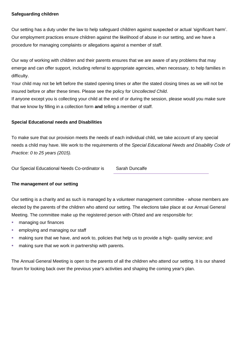#### **Safeguarding children**

Our setting has a duty under the law to help safeguard children against suspected or actual 'significant harm'. Our employment practices ensure children against the likelihood of abuse in our setting, and we have a procedure for managing complaints or allegations against a member of staff.

Our way of working with children and their parents ensures that we are aware of any problems that may emerge and can offer support, including referral to appropriate agencies, when necessary, to help families in difficulty.

Your child may not be left before the stated opening times or after the stated closing times as we will not be insured before or after these times. Please see the policy for *Uncollected Child*.

If anyone except you is collecting your child at the end of or during the session, please would you make sure that we know by filling in a collection form **and** telling a member of staff.

#### **Special Educational needs and Disabilities**

To make sure that our provision meets the needs of each individual child, we take account of any special needs a child may have. We work to the requirements of the *Special Educational Needs and Disability Code of Practice: 0 to 25 years (2015).*

Our Special Educational Needs Co-ordinator is Sarah Duncalfe

#### **The management of our setting**

Our setting is a charity and as such is managed by a volunteer management committee - whose members are elected by the parents of the children who attend our setting. The elections take place at our Annual General Meeting. The committee make up the registered person with Ofsted and are responsible for:

- managing our finances
- employing and managing our staff
- **E** making sure that we have, and work to, policies that help us to provide a high- quality service; and
- making sure that we work in partnership with parents.

The Annual General Meeting is open to the parents of all the children who attend our setting. It is our shared forum for looking back over the previous year's activities and shaping the coming year's plan.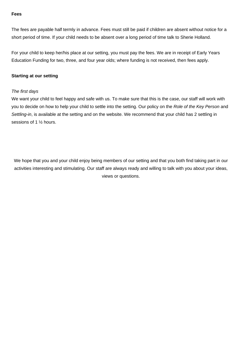#### **Fees**

The fees are payable half termly in advance. Fees must still be paid if children are absent without notice for a short period of time. If your child needs to be absent over a long period of time talk to Sherie Holland.

For your child to keep her/his place at our setting, you must pay the fees. We are in receipt of Early Years Education Funding for two, three, and four year olds; where funding is not received, then fees apply.

#### **Starting at our setting**

#### *The first days*

We want your child to feel happy and safe with us. To make sure that this is the case, our staff will work with you to decide on how to help your child to settle into the setting. Our policy on the *Role of the Key Person* and *Settling-in*, is available at the setting and on the website. We recommend that your child has 2 settling in sessions of 1 ½ hours.

We hope that you and your child enjoy being members of our setting and that you both find taking part in our activities interesting and stimulating. Our staff are always ready and willing to talk with you about your ideas, views or questions.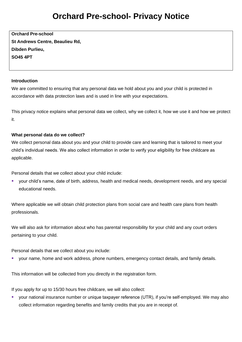### **Orchard Pre-school- Privacy Notice**

**Orchard Pre-school St Andrews Centre, Beaulieu Rd, Dibden Purlieu, SO45 4PT**

#### **Introduction**

We are committed to ensuring that any personal data we hold about you and your child is protected in accordance with data protection laws and is used in line with your expectations.

This privacy notice explains what personal data we collect, why we collect it, how we use it and how we protect it.

#### **What personal data do we collect?**

We collect personal data about you and your child to provide care and learning that is tailored to meet your child's individual needs. We also collect information in order to verify your eligibility for free childcare as applicable.

Personal details that we collect about your child include:

▪ your child's name, date of birth, address, health and medical needs, development needs, and any special educational needs.

Where applicable we will obtain child protection plans from social care and health care plans from health professionals.

We will also ask for information about who has parental responsibility for your child and any court orders pertaining to your child.

Personal details that we collect about you include:

■ your name, home and work address, phone numbers, emergency contact details, and family details.

This information will be collected from you directly in the registration form.

If you apply for up to 15/30 hours free childcare, we will also collect:

■ your national insurance number or unique taxpayer reference (UTR), if you're self-employed. We may also collect information regarding benefits and family credits that you are in receipt of.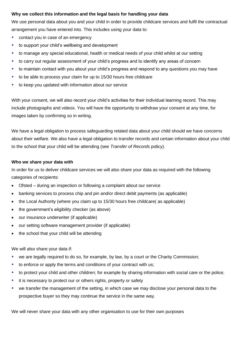#### **Why we collect this information and the legal basis for handling your data**

We use personal data about you and your child in order to provide childcare services and fulfil the contractual arrangement you have entered into. This includes using your data to:

- contact you in case of an emergency
- to support your child's wellbeing and development
- **•** to manage any special educational, health or medical needs of your child whilst at our setting
- to carry out regular assessment of your child's progress and to identify any areas of concern
- to maintain contact with you about your child's progress and respond to any questions you may have
- to be able to process your claim for up to 15/30 hours free childcare
- to keep you updated with information about our service

With your consent, we will also record your child's activities for their individual learning record. This may include photographs and videos. You will have the opportunity to withdraw your consent at any time, for images taken by confirming so in writing.

We have a legal obligation to process safeguarding related data about your child should we have concerns about their welfare. We also have a legal obligation to transfer records and certain information about your child to the school that your child will be attending (see *Transfer of Records* policy).

#### **Who we share your data with**

In order for us to deliver childcare services we will also share your data as required with the following categories of recipients:

- Ofsted during an inspection or following a complaint about our service
- banking services to process chip and pin and/or direct debit payments (as applicable)
- the Local Authority (where you claim up to 15/30 hours free childcare( as applicable)
- the government's eligibility checker (as above)
- our insurance underwriter (if applicable)
- our setting software management provider (if applicable)
- the school that your child will be attending

We will also share your data if:

- we are legally required to do so, for example, by law, by a court or the Charity Commission;
- to enforce or apply the terms and conditions of your contract with us;
- to protect your child and other children; for example by sharing information with social care or the police;
- it is necessary to protect our or others rights, property or safety
- we transfer the management of the setting, in which case we may disclose your personal data to the prospective buyer so they may continue the service in the same way.

We will never share your data with any other organisation to use for their own purposes